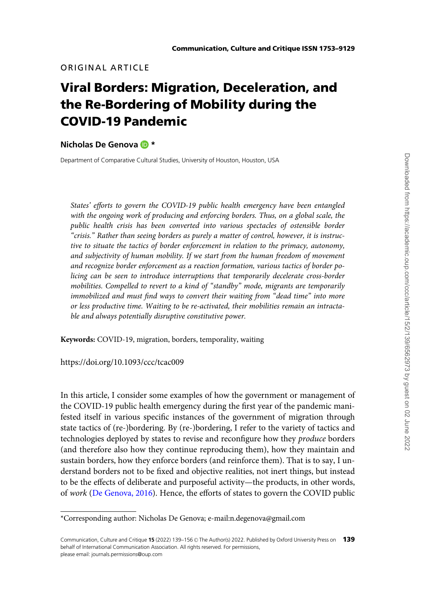# ORIGINAL ARTICLE

# Viral Borders: Migration, Deceleration, and the Re-Bordering of Mobility during the COVID-19 Pandemic

#### Nicholas De Genova D \*

Department of Comparative Cultural Studies, University of Houston, Houston, USA

States' efforts to govern the COVID-19 public health emergency have been entangled with the ongoing work of producing and enforcing borders. Thus, on a global scale, the public health crisis has been converted into various spectacles of ostensible border "crisis." Rather than seeing borders as purely a matter of control, however, it is instructive to situate the tactics of border enforcement in relation to the primacy, autonomy, and subjectivity of human mobility. If we start from the human freedom of movement and recognize border enforcement as a reaction formation, various tactics of border policing can be seen to introduce interruptions that temporarily decelerate cross-border mobilities. Compelled to revert to a kind of "standby" mode, migrants are temporarily immobilized and must find ways to convert their waiting from "dead time" into more or less productive time. Waiting to be re-activated, their mobilities remain an intractable and always potentially disruptive constitutive power.

Keywords: COVID-19, migration, borders, temporality, waiting

https://doi.org/10.1093/ccc/tcac009

In this article, I consider some examples of how the government or management of the COVID-19 public health emergency during the first year of the pandemic manifested itself in various specific instances of the government of migration through state tactics of (re-)bordering. By (re-)bordering, I refer to the variety of tactics and technologies deployed by states to revise and reconfigure how they produce borders (and therefore also how they continue reproducing them), how they maintain and sustain borders, how they enforce borders (and reinforce them). That is to say, I understand borders not to be fixed and objective realities, not inert things, but instead to be the effects of deliberate and purposeful activity—the products, in other words, of work ([De Genova, 2016\)](#page-15-0). Hence, the efforts of states to govern the COVID public

<sup>\*</sup>Corresponding author: Nicholas De Genova; e-mail:n.degenova@gmail.com

Communication, Culture and Critique 15 (2022) 139-156 © The Author(s) 2022. Published by Oxford University Press on 139 behalf of International Communication Association. All rights reserved. For permissions, please email: journals.permissions@oup.com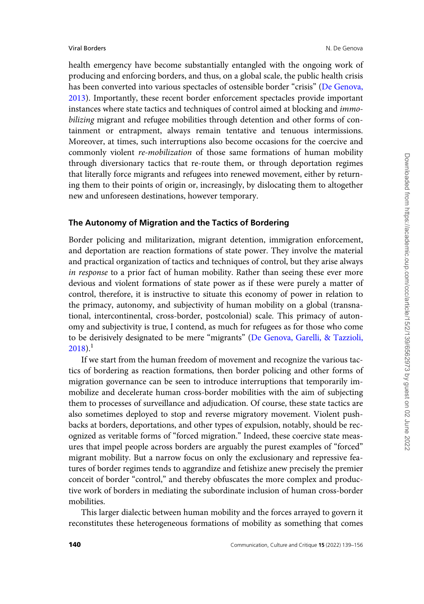health emergency have become substantially entangled with the ongoing work of producing and enforcing borders, and thus, on a global scale, the public health crisis has been converted into various spectacles of ostensible border "crisis" [\(De Genova,](#page-15-0) [2013\)](#page-15-0). Importantly, these recent border enforcement spectacles provide important instances where state tactics and techniques of control aimed at blocking and *immo*bilizing migrant and refugee mobilities through detention and other forms of containment or entrapment, always remain tentative and tenuous intermissions. Moreover, at times, such interruptions also become occasions for the coercive and commonly violent re-mobilization of those same formations of human mobility through diversionary tactics that re-route them, or through deportation regimes that literally force migrants and refugees into renewed movement, either by returning them to their points of origin or, increasingly, by dislocating them to altogether new and unforeseen destinations, however temporary.

# The Autonomy of Migration and the Tactics of Bordering

Border policing and militarization, migrant detention, immigration enforcement, and deportation are reaction formations of state power. They involve the material and practical organization of tactics and techniques of control, but they arise always in response to a prior fact of human mobility. Rather than seeing these ever more devious and violent formations of state power as if these were purely a matter of control, therefore, it is instructive to situate this economy of power in relation to the primacy, autonomy, and subjectivity of human mobility on a global (transnational, intercontinental, cross-border, postcolonial) scale. This primacy of autonomy and subjectivity is true, I contend, as much for refugees as for those who come to be derisively designated to be mere "migrants" ([De Genova, Garelli,](#page-15-0) & [Tazzioli,](#page-15-0)  $2018$ ).<sup>1</sup>

If we start from the human freedom of movement and recognize the various tactics of bordering as reaction formations, then border policing and other forms of migration governance can be seen to introduce interruptions that temporarily immobilize and decelerate human cross-border mobilities with the aim of subjecting them to processes of surveillance and adjudication. Of course, these state tactics are also sometimes deployed to stop and reverse migratory movement. Violent pushbacks at borders, deportations, and other types of expulsion, notably, should be recognized as veritable forms of "forced migration." Indeed, these coercive state measures that impel people across borders are arguably the purest examples of "forced" migrant mobility. But a narrow focus on only the exclusionary and repressive features of border regimes tends to aggrandize and fetishize anew precisely the premier conceit of border "control," and thereby obfuscates the more complex and productive work of borders in mediating the subordinate inclusion of human cross-border mobilities.

This larger dialectic between human mobility and the forces arrayed to govern it reconstitutes these heterogeneous formations of mobility as something that comes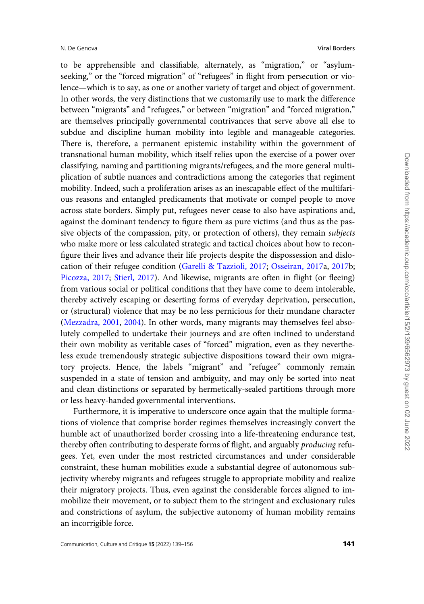to be apprehensible and classifiable, alternately, as "migration," or "asylumseeking," or the "forced migration" of "refugees" in flight from persecution or violence—which is to say, as one or another variety of target and object of government. In other words, the very distinctions that we customarily use to mark the difference between "migrants" and "refugees," or between "migration" and "forced migration," are themselves principally governmental contrivances that serve above all else to subdue and discipline human mobility into legible and manageable categories. There is, therefore, a permanent epistemic instability within the government of transnational human mobility, which itself relies upon the exercise of a power over classifying, naming and partitioning migrants/refugees, and the more general multiplication of subtle nuances and contradictions among the categories that regiment mobility. Indeed, such a proliferation arises as an inescapable effect of the multifarious reasons and entangled predicaments that motivate or compel people to move across state borders. Simply put, refugees never cease to also have aspirations and, against the dominant tendency to figure them as pure victims (and thus as the passive objects of the compassion, pity, or protection of others), they remain subjects who make more or less calculated strategic and tactical choices about how to reconfigure their lives and advance their life projects despite the dispossession and dislocation of their refugee condition [\(Garelli & Tazzioli, 2017](#page-16-0); [Osseiran, 2017](#page-17-0)a, [2017](#page-17-0)b; [Picozza, 2017;](#page-17-0) [Stierl, 2017\)](#page-17-0). And likewise, migrants are often in flight (or fleeing) from various social or political conditions that they have come to deem intolerable, thereby actively escaping or deserting forms of everyday deprivation, persecution, or (structural) violence that may be no less pernicious for their mundane character ([Mezzadra, 2001](#page-16-0), [2004\)](#page-16-0). In other words, many migrants may themselves feel absolutely compelled to undertake their journeys and are often inclined to understand their own mobility as veritable cases of "forced" migration, even as they nevertheless exude tremendously strategic subjective dispositions toward their own migratory projects. Hence, the labels "migrant" and "refugee" commonly remain suspended in a state of tension and ambiguity, and may only be sorted into neat and clean distinctions or separated by hermetically-sealed partitions through more or less heavy-handed governmental interventions.

Furthermore, it is imperative to underscore once again that the multiple formations of violence that comprise border regimes themselves increasingly convert the humble act of unauthorized border crossing into a life-threatening endurance test, thereby often contributing to desperate forms of flight, and arguably producing refugees. Yet, even under the most restricted circumstances and under considerable constraint, these human mobilities exude a substantial degree of autonomous subjectivity whereby migrants and refugees struggle to appropriate mobility and realize their migratory projects. Thus, even against the considerable forces aligned to immobilize their movement, or to subject them to the stringent and exclusionary rules and constrictions of asylum, the subjective autonomy of human mobility remains an incorrigible force.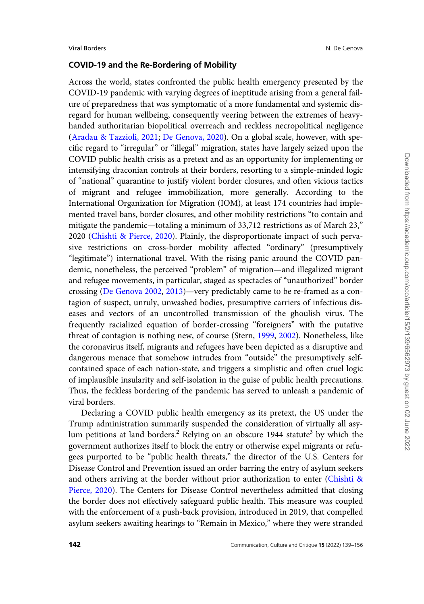# COVID-19 and the Re-Bordering of Mobility

Across the world, states confronted the public health emergency presented by the COVID-19 pandemic with varying degrees of ineptitude arising from a general failure of preparedness that was symptomatic of a more fundamental and systemic disregard for human wellbeing, consequently veering between the extremes of heavyhanded authoritarian biopolitical overreach and reckless necropolitical negligence [\(Aradau](#page-14-0) & [Tazzioli, 2021](#page-14-0); [De Genova, 2020](#page-15-0)). On a global scale, however, with specific regard to "irregular" or "illegal" migration, states have largely seized upon the COVID public health crisis as a pretext and as an opportunity for implementing or intensifying draconian controls at their borders, resorting to a simple-minded logic of "national" quarantine to justify violent border closures, and often vicious tactics of migrant and refugee immobilization, more generally. According to the International Organization for Migration (IOM), at least 174 countries had implemented travel bans, border closures, and other mobility restrictions "to contain and mitigate the pandemic—totaling a minimum of 33,712 restrictions as of March 23," 2020 ([Chishti & Pierce, 2020\)](#page-15-0). Plainly, the disproportionate impact of such pervasive restrictions on cross-border mobility affected "ordinary" (presumptively "legitimate") international travel. With the rising panic around the COVID pandemic, nonetheless, the perceived "problem" of migration—and illegalized migrant and refugee movements, in particular, staged as spectacles of "unauthorized" border crossing [\(De Genova 2002](#page-15-0), [2013\)](#page-15-0)—very predictably came to be re-framed as a contagion of suspect, unruly, unwashed bodies, presumptive carriers of infectious diseases and vectors of an uncontrolled transmission of the ghoulish virus. The frequently racialized equation of border-crossing "foreigners" with the putative threat of contagion is nothing new, of course (Stern, [1999,](#page-17-0) [2002](#page-17-0)). Nonetheless, like the coronavirus itself, migrants and refugees have been depicted as a disruptive and dangerous menace that somehow intrudes from "outside" the presumptively selfcontained space of each nation-state, and triggers a simplistic and often cruel logic of implausible insularity and self-isolation in the guise of public health precautions. Thus, the feckless bordering of the pandemic has served to unleash a pandemic of viral borders.

Declaring a COVID public health emergency as its pretext, the US under the Trump administration summarily suspended the consideration of virtually all asylum petitions at land borders.<sup>2</sup> Relying on an obscure 1944 statute<sup>3</sup> by which the government authorizes itself to block the entry or otherwise expel migrants or refugees purported to be "public health threats," the director of the U.S. Centers for Disease Control and Prevention issued an order barring the entry of asylum seekers and others arriving at the border without prior authorization to enter ([Chishti &](#page-15-0) [Pierce, 2020](#page-15-0)). The Centers for Disease Control nevertheless admitted that closing the border does not effectively safeguard public health. This measure was coupled with the enforcement of a push-back provision, introduced in 2019, that compelled asylum seekers awaiting hearings to "Remain in Mexico," where they were stranded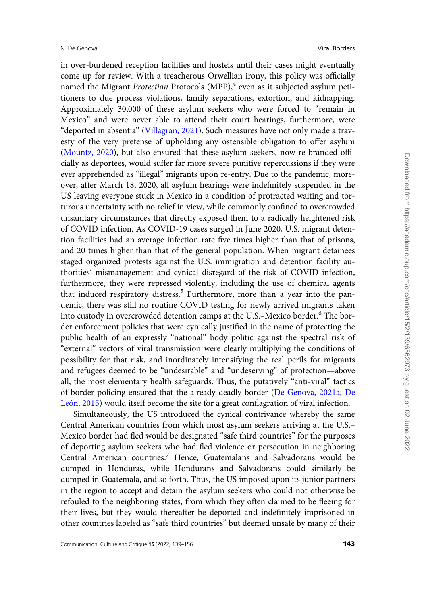in over-burdened reception facilities and hostels until their cases might eventually come up for review. With a treacherous Orwellian irony, this policy was officially named the Migrant *Protection* Protocols  $(MPP)$ ,<sup>4</sup> even as it subjected asylum petitioners to due process violations, family separations, extortion, and kidnapping. Approximately 30,000 of these asylum seekers who were forced to "remain in Mexico" and were never able to attend their court hearings, furthermore, were "deported in absentia" [\(Villagran, 2021](#page-17-0)). Such measures have not only made a travesty of the very pretense of upholding any ostensible obligation to offer asylum ([Mountz, 2020](#page-17-0)), but also ensured that these asylum seekers, now re-branded officially as deportees, would suffer far more severe punitive repercussions if they were ever apprehended as "illegal" migrants upon re-entry. Due to the pandemic, moreover, after March 18, 2020, all asylum hearings were indefinitely suspended in the US leaving everyone stuck in Mexico in a condition of protracted waiting and torturous uncertainty with no relief in view, while commonly confined to overcrowded unsanitary circumstances that directly exposed them to a radically heightened risk of COVID infection. As COVID-19 cases surged in June 2020, U.S. migrant detention facilities had an average infection rate five times higher than that of prisons, and 20 times higher than that of the general population. When migrant detainees staged organized protests against the U.S. immigration and detention facility authorities' mismanagement and cynical disregard of the risk of COVID infection, furthermore, they were repressed violently, including the use of chemical agents that induced respiratory distress.<sup>5</sup> Furthermore, more than a year into the pandemic, there was still no routine COVID testing for newly arrived migrants taken into custody in overcrowded detention camps at the U.S.-Mexico border.<sup>6</sup> The border enforcement policies that were cynically justified in the name of protecting the public health of an expressly "national" body politic against the spectral risk of "external" vectors of viral transmission were clearly multiplying the conditions of possibility for that risk, and inordinately intensifying the real perils for migrants and refugees deemed to be "undesirable" and "undeserving" of protection—above all, the most elementary health safeguards. Thus, the putatively "anti-viral" tactics of border policing ensured that the already deadly border [\(De Genova, 2021a;](#page-15-0) [De](#page-15-0) León, 2015) would itself become the site for a great conflagration of viral infection.

Simultaneously, the US introduced the cynical contrivance whereby the same Central American countries from which most asylum seekers arriving at the U.S.– Mexico border had fled would be designated "safe third countries" for the purposes of deporting asylum seekers who had fled violence or persecution in neighboring Central American countries.<sup>7</sup> Hence, Guatemalans and Salvadorans would be dumped in Honduras, while Hondurans and Salvadorans could similarly be dumped in Guatemala, and so forth. Thus, the US imposed upon its junior partners in the region to accept and detain the asylum seekers who could not otherwise be refouled to the neighboring states, from which they often claimed to be fleeing for their lives, but they would thereafter be deported and indefinitely imprisoned in other countries labeled as "safe third countries" but deemed unsafe by many of their

Downloaded from https://academic.oup.com/ccc/article/15/2/139/6562973 by guest on 02 June 2022 Downloaded from https://academic.oup.com/ccc/article/15/2/139/6562973 by guest on 02 June 2022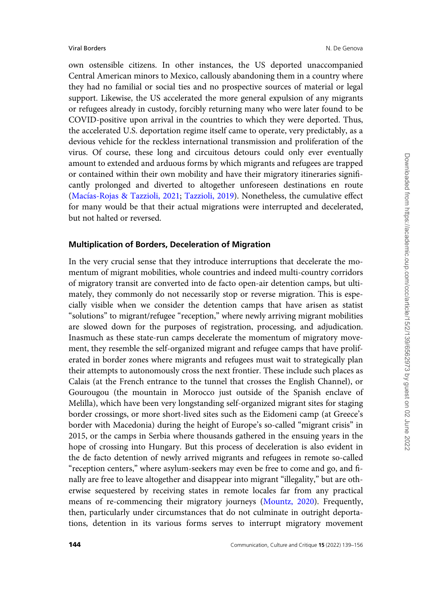own ostensible citizens. In other instances, the US deported unaccompanied Central American minors to Mexico, callously abandoning them in a country where they had no familial or social ties and no prospective sources of material or legal support. Likewise, the US accelerated the more general expulsion of any migrants or refugees already in custody, forcibly returning many who were later found to be COVID-positive upon arrival in the countries to which they were deported. Thus, the accelerated U.S. deportation regime itself came to operate, very predictably, as a devious vehicle for the reckless international transmission and proliferation of the virus. Of course, these long and circuitous detours could only ever eventually amount to extended and arduous forms by which migrants and refugees are trapped or contained within their own mobility and have their migratory itineraries significantly prolonged and diverted to altogether unforeseen destinations en route [\(Mac](#page-16-0)ías-Rojas & [Tazzioli, 2021](#page-16-0); [Tazzioli, 2019\)](#page-17-0). Nonetheless, the cumulative effect for many would be that their actual migrations were interrupted and decelerated, but not halted or reversed.

# Multiplication of Borders, Deceleration of Migration

In the very crucial sense that they introduce interruptions that decelerate the momentum of migrant mobilities, whole countries and indeed multi-country corridors of migratory transit are converted into de facto open-air detention camps, but ultimately, they commonly do not necessarily stop or reverse migration. This is especially visible when we consider the detention camps that have arisen as statist "solutions" to migrant/refugee "reception," where newly arriving migrant mobilities are slowed down for the purposes of registration, processing, and adjudication. Inasmuch as these state-run camps decelerate the momentum of migratory movement, they resemble the self-organized migrant and refugee camps that have proliferated in border zones where migrants and refugees must wait to strategically plan their attempts to autonomously cross the next frontier. These include such places as Calais (at the French entrance to the tunnel that crosses the English Channel), or Gourougou (the mountain in Morocco just outside of the Spanish enclave of Melilla), which have been very longstanding self-organized migrant sites for staging border crossings, or more short-lived sites such as the Eidomeni camp (at Greece's border with Macedonia) during the height of Europe's so-called "migrant crisis" in 2015, or the camps in Serbia where thousands gathered in the ensuing years in the hope of crossing into Hungary. But this process of deceleration is also evident in the de facto detention of newly arrived migrants and refugees in remote so-called "reception centers," where asylum-seekers may even be free to come and go, and finally are free to leave altogether and disappear into migrant "illegality," but are otherwise sequestered by receiving states in remote locales far from any practical means of re-commencing their migratory journeys [\(Mountz, 2020](#page-17-0)). Frequently, then, particularly under circumstances that do not culminate in outright deportations, detention in its various forms serves to interrupt migratory movement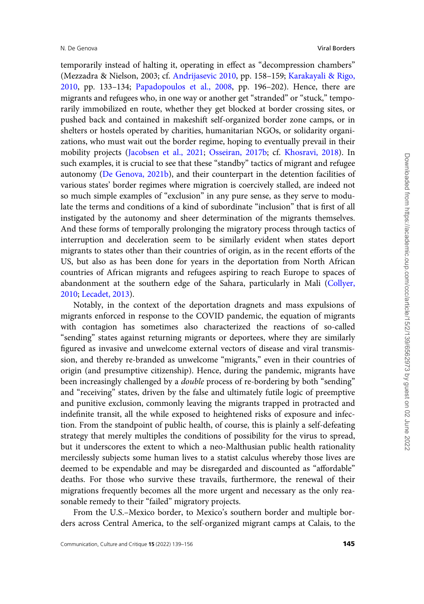temporarily instead of halting it, operating in effect as "decompression chambers" (Mezzadra & Nielson, 2003; cf. [Andrijasevic 2010](#page-14-0), pp. 158–159; [Karakayali & Rigo,](#page-16-0) [2010](#page-16-0), pp. 133–134; [Papadopoulos et al., 2008](#page-17-0), pp. 196–202). Hence, there are migrants and refugees who, in one way or another get "stranded" or "stuck," temporarily immobilized en route, whether they get blocked at border crossing sites, or pushed back and contained in makeshift self-organized border zone camps, or in shelters or hostels operated by charities, humanitarian NGOs, or solidarity organizations, who must wait out the border regime, hoping to eventually prevail in their mobility projects ([Jacobsen et al., 2021](#page-16-0); [Osseiran, 2017b;](#page-17-0) cf. [Khosravi, 2018](#page-16-0)). In such examples, it is crucial to see that these "standby" tactics of migrant and refugee autonomy ([De Genova, 2021b\)](#page-15-0), and their counterpart in the detention facilities of various states' border regimes where migration is coercively stalled, are indeed not so much simple examples of "exclusion" in any pure sense, as they serve to modulate the terms and conditions of a kind of subordinate "inclusion" that is first of all instigated by the autonomy and sheer determination of the migrants themselves. And these forms of temporally prolonging the migratory process through tactics of interruption and deceleration seem to be similarly evident when states deport migrants to states other than their countries of origin, as in the recent efforts of the US, but also as has been done for years in the deportation from North African countries of African migrants and refugees aspiring to reach Europe to spaces of abandonment at the southern edge of the Sahara, particularly in Mali [\(Collyer,](#page-15-0) [2010](#page-15-0); [Lecadet, 2013](#page-16-0)).

Notably, in the context of the deportation dragnets and mass expulsions of migrants enforced in response to the COVID pandemic, the equation of migrants with contagion has sometimes also characterized the reactions of so-called "sending" states against returning migrants or deportees, where they are similarly figured as invasive and unwelcome external vectors of disease and viral transmission, and thereby re-branded as unwelcome "migrants," even in their countries of origin (and presumptive citizenship). Hence, during the pandemic, migrants have been increasingly challenged by a *double* process of re-bordering by both "sending" and "receiving" states, driven by the false and ultimately futile logic of preemptive and punitive exclusion, commonly leaving the migrants trapped in protracted and indefinite transit, all the while exposed to heightened risks of exposure and infection. From the standpoint of public health, of course, this is plainly a self-defeating strategy that merely multiples the conditions of possibility for the virus to spread, but it underscores the extent to which a neo-Malthusian public health rationality mercilessly subjects some human lives to a statist calculus whereby those lives are deemed to be expendable and may be disregarded and discounted as "affordable" deaths. For those who survive these travails, furthermore, the renewal of their migrations frequently becomes all the more urgent and necessary as the only reasonable remedy to their "failed" migratory projects.

From the U.S.–Mexico border, to Mexico's southern border and multiple borders across Central America, to the self-organized migrant camps at Calais, to the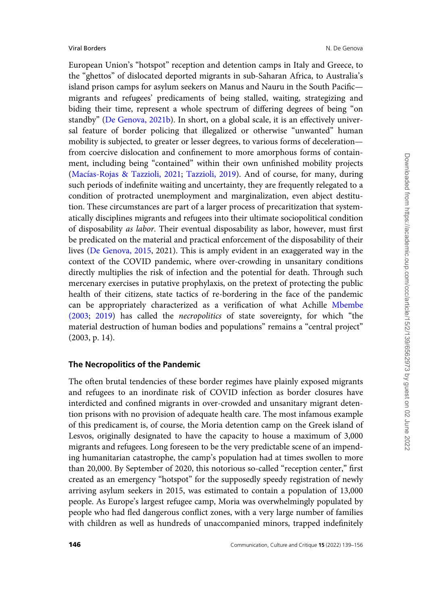European Union's "hotspot" reception and detention camps in Italy and Greece, to the "ghettos" of dislocated deported migrants in sub-Saharan Africa, to Australia's island prison camps for asylum seekers on Manus and Nauru in the South Pacific migrants and refugees' predicaments of being stalled, waiting, strategizing and biding their time, represent a whole spectrum of differing degrees of being "on standby" [\(De Genova, 2021b\)](#page-15-0). In short, on a global scale, it is an effectively universal feature of border policing that illegalized or otherwise "unwanted" human mobility is subjected, to greater or lesser degrees, to various forms of deceleration from coercive dislocation and confinement to more amorphous forms of containment, including being "contained" within their own unfinished mobility projects [\(Mac](#page-16-0)ías-Rojas & Tazzioli, 2021; [Tazzioli, 2019](#page-17-0)). And of course, for many, during such periods of indefinite waiting and uncertainty, they are frequently relegated to a condition of protracted unemployment and marginalization, even abject destitution. These circumstances are part of a larger process of precaritization that systematically disciplines migrants and refugees into their ultimate sociopolitical condition of disposability as labor. Their eventual disposability as labor, however, must first be predicated on the material and practical enforcement of the disposability of their lives ([De Genova, 2015](#page-15-0), 2021). This is amply evident in an exaggerated way in the context of the COVID pandemic, where over-crowding in unsanitary conditions directly multiplies the risk of infection and the potential for death. Through such mercenary exercises in putative prophylaxis, on the pretext of protecting the public health of their citizens, state tactics of re-bordering in the face of the pandemic can be appropriately characterized as a verification of what Achille [Mbembe](#page-16-0) [\(2003](#page-16-0); [2019\)](#page-16-0) has called the necropolitics of state sovereignty, for which "the material destruction of human bodies and populations" remains a "central project" (2003, p. 14).

#### The Necropolitics of the Pandemic

The often brutal tendencies of these border regimes have plainly exposed migrants and refugees to an inordinate risk of COVID infection as border closures have interdicted and confined migrants in over-crowded and unsanitary migrant detention prisons with no provision of adequate health care. The most infamous example of this predicament is, of course, the Moria detention camp on the Greek island of Lesvos, originally designated to have the capacity to house a maximum of 3,000 migrants and refugees. Long foreseen to be the very predictable scene of an impending humanitarian catastrophe, the camp's population had at times swollen to more than 20,000. By September of 2020, this notorious so-called "reception center," first created as an emergency "hotspot" for the supposedly speedy registration of newly arriving asylum seekers in 2015, was estimated to contain a population of 13,000 people. As Europe's largest refugee camp, Moria was overwhelmingly populated by people who had fled dangerous conflict zones, with a very large number of families with children as well as hundreds of unaccompanied minors, trapped indefinitely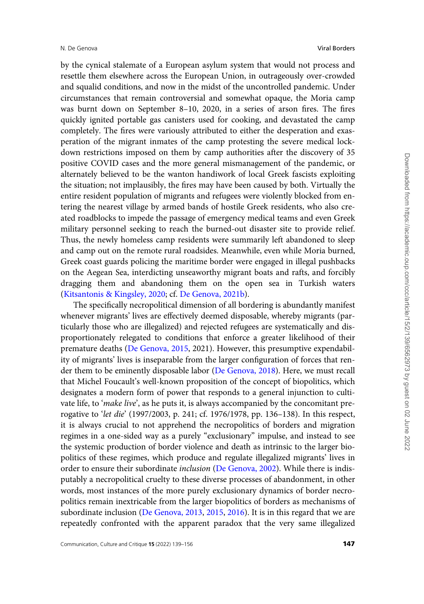by the cynical stalemate of a European asylum system that would not process and resettle them elsewhere across the European Union, in outrageously over-crowded and squalid conditions, and now in the midst of the uncontrolled pandemic. Under circumstances that remain controversial and somewhat opaque, the Moria camp was burnt down on September 8–10, 2020, in a series of arson fires. The fires quickly ignited portable gas canisters used for cooking, and devastated the camp completely. The fires were variously attributed to either the desperation and exasperation of the migrant inmates of the camp protesting the severe medical lockdown restrictions imposed on them by camp authorities after the discovery of 35 positive COVID cases and the more general mismanagement of the pandemic, or alternately believed to be the wanton handiwork of local Greek fascists exploiting the situation; not implausibly, the fires may have been caused by both. Virtually the entire resident population of migrants and refugees were violently blocked from entering the nearest village by armed bands of hostile Greek residents, who also created roadblocks to impede the passage of emergency medical teams and even Greek military personnel seeking to reach the burned-out disaster site to provide relief. Thus, the newly homeless camp residents were summarily left abandoned to sleep and camp out on the remote rural roadsides. Meanwhile, even while Moria burned, Greek coast guards policing the maritime border were engaged in illegal pushbacks on the Aegean Sea, interdicting unseaworthy migrant boats and rafts, and forcibly dragging them and abandoning them on the open sea in Turkish waters ([Kitsantonis](#page-16-0) [& Kingsley, 2020;](#page-16-0) cf. [De Genova, 2021b](#page-15-0)).

The specifically necropolitical dimension of all bordering is abundantly manifest whenever migrants' lives are effectively deemed disposable, whereby migrants (particularly those who are illegalized) and rejected refugees are systematically and disproportionately relegated to conditions that enforce a greater likelihood of their premature deaths ([De Genova, 2015](#page-15-0), 2021). However, this presumptive expendability of migrants' lives is inseparable from the larger configuration of forces that render them to be eminently disposable labor ([De Genova, 2018\)](#page-15-0). Here, we must recall that Michel Foucault's well-known proposition of the concept of biopolitics, which designates a modern form of power that responds to a general injunction to cultivate life, to 'make live', as he puts it, is always accompanied by the concomitant prerogative to 'let die' (1997/2003, p. 241; cf. 1976/1978, pp. 136–138). In this respect, it is always crucial to not apprehend the necropolitics of borders and migration regimes in a one-sided way as a purely "exclusionary" impulse, and instead to see the systemic production of border violence and death as intrinsic to the larger biopolitics of these regimes, which produce and regulate illegalized migrants' lives in order to ensure their subordinate inclusion ([De Genova, 2002\)](#page-15-0). While there is indisputably a necropolitical cruelty to these diverse processes of abandonment, in other words, most instances of the more purely exclusionary dynamics of border necropolitics remain inextricable from the larger biopolitics of borders as mechanisms of subordinate inclusion [\(De Genova, 2013,](#page-15-0) [2015,](#page-15-0) [2016](#page-15-0)). It is in this regard that we are repeatedly confronted with the apparent paradox that the very same illegalized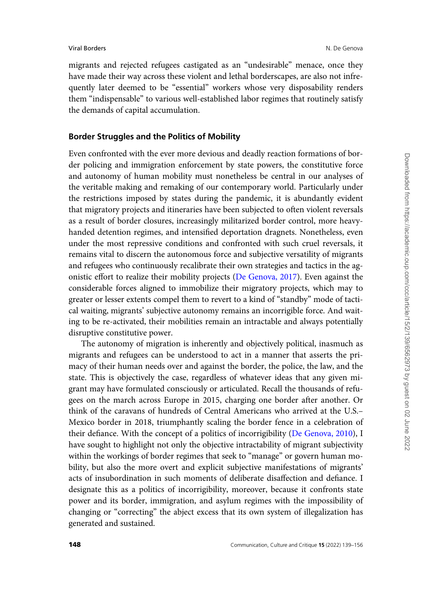migrants and rejected refugees castigated as an "undesirable" menace, once they have made their way across these violent and lethal borderscapes, are also not infrequently later deemed to be "essential" workers whose very disposability renders them "indispensable" to various well-established labor regimes that routinely satisfy the demands of capital accumulation.

# Border Struggles and the Politics of Mobility

Even confronted with the ever more devious and deadly reaction formations of border policing and immigration enforcement by state powers, the constitutive force and autonomy of human mobility must nonetheless be central in our analyses of the veritable making and remaking of our contemporary world. Particularly under the restrictions imposed by states during the pandemic, it is abundantly evident that migratory projects and itineraries have been subjected to often violent reversals as a result of border closures, increasingly militarized border control, more heavyhanded detention regimes, and intensified deportation dragnets. Nonetheless, even under the most repressive conditions and confronted with such cruel reversals, it remains vital to discern the autonomous force and subjective versatility of migrants and refugees who continuously recalibrate their own strategies and tactics in the agonistic effort to realize their mobility projects ([De Genova, 2017\)](#page-15-0). Even against the considerable forces aligned to immobilize their migratory projects, which may to greater or lesser extents compel them to revert to a kind of "standby" mode of tactical waiting, migrants' subjective autonomy remains an incorrigible force. And waiting to be re-activated, their mobilities remain an intractable and always potentially disruptive constitutive power.

The autonomy of migration is inherently and objectively political, inasmuch as migrants and refugees can be understood to act in a manner that asserts the primacy of their human needs over and against the border, the police, the law, and the state. This is objectively the case, regardless of whatever ideas that any given migrant may have formulated consciously or articulated. Recall the thousands of refugees on the march across Europe in 2015, charging one border after another. Or think of the caravans of hundreds of Central Americans who arrived at the U.S.– Mexico border in 2018, triumphantly scaling the border fence in a celebration of their defiance. With the concept of a politics of incorrigibility [\(De Genova, 2010\)](#page-15-0), I have sought to highlight not only the objective intractability of migrant subjectivity within the workings of border regimes that seek to "manage" or govern human mobility, but also the more overt and explicit subjective manifestations of migrants' acts of insubordination in such moments of deliberate disaffection and defiance. I designate this as a politics of incorrigibility, moreover, because it confronts state power and its border, immigration, and asylum regimes with the impossibility of changing or "correcting" the abject excess that its own system of illegalization has generated and sustained.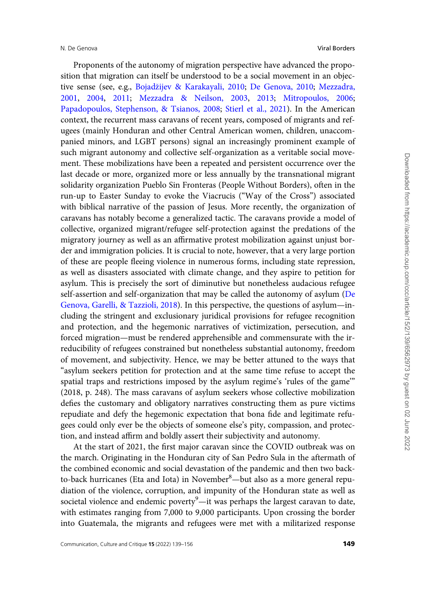Proponents of the autonomy of migration perspective have advanced the proposition that migration can itself be understood to be a social movement in an objective sense (see, e.g., [Bojad](#page-14-0)z[ijev](#page-14-0) & [Karakayali, 2010](#page-14-0); [De Genova, 2010](#page-15-0); [Mezzadra,](#page-16-0) [2001](#page-16-0), [2004](#page-16-0), [2011;](#page-16-0) [Mezzadra](#page-17-0) & [Neilson, 2003,](#page-17-0) [2013](#page-17-0); [Mitropoulos, 2006](#page-17-0); [Papadopoulos, Stephenson,](#page-17-0) & [Tsianos, 2008](#page-17-0); [Stierl et al., 2021](#page-17-0)). In the American context, the recurrent mass caravans of recent years, composed of migrants and refugees (mainly Honduran and other Central American women, children, unaccompanied minors, and LGBT persons) signal an increasingly prominent example of such migrant autonomy and collective self-organization as a veritable social movement. These mobilizations have been a repeated and persistent occurrence over the last decade or more, organized more or less annually by the transnational migrant solidarity organization Pueblo Sin Fronteras (People Without Borders), often in the run-up to Easter Sunday to evoke the Viacrucis ("Way of the Cross") associated with biblical narrative of the passion of Jesus. More recently, the organization of caravans has notably become a generalized tactic. The caravans provide a model of collective, organized migrant/refugee self-protection against the predations of the migratory journey as well as an affirmative protest mobilization against unjust border and immigration policies. It is crucial to note, however, that a very large portion of these are people fleeing violence in numerous forms, including state repression, as well as disasters associated with climate change, and they aspire to petition for asylum. This is precisely the sort of diminutive but nonetheless audacious refugee self-assertion and self-organization that may be called the autonomy of asylum ([De](#page-15-0) [Genova, Garelli, & Tazzioli, 2018](#page-15-0)). In this perspective, the questions of asylum—including the stringent and exclusionary juridical provisions for refugee recognition and protection, and the hegemonic narratives of victimization, persecution, and forced migration—must be rendered apprehensible and commensurate with the irreducibility of refugees constrained but nonetheless substantial autonomy, freedom of movement, and subjectivity. Hence, we may be better attuned to the ways that "asylum seekers petition for protection and at the same time refuse to accept the spatial traps and restrictions imposed by the asylum regime's 'rules of the game'" (2018, p. 248). The mass caravans of asylum seekers whose collective mobilization defies the customary and obligatory narratives constructing them as pure victims repudiate and defy the hegemonic expectation that bona fide and legitimate refugees could only ever be the objects of someone else's pity, compassion, and protection, and instead affirm and boldly assert their subjectivity and autonomy.

At the start of 2021, the first major caravan since the COVID outbreak was on the march. Originating in the Honduran city of San Pedro Sula in the aftermath of the combined economic and social devastation of the pandemic and then two backto-back hurricanes (Eta and Iota) in November<sup>8</sup>—but also as a more general repudiation of the violence, corruption, and impunity of the Honduran state as well as societal violence and endemic poverty<sup>9</sup>—it was perhaps the largest caravan to date, with estimates ranging from 7,000 to 9,000 participants. Upon crossing the border into Guatemala, the migrants and refugees were met with a militarized response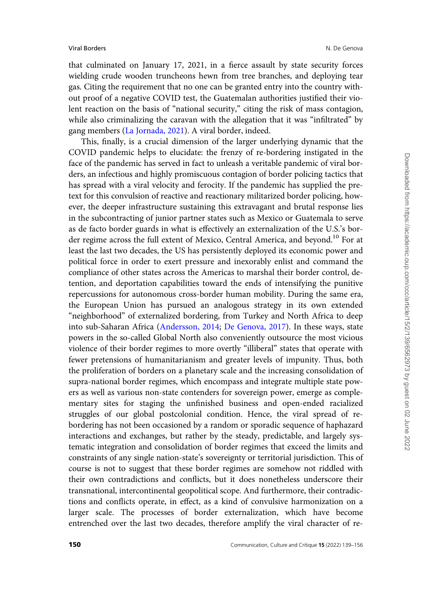that culminated on January 17, 2021, in a fierce assault by state security forces wielding crude wooden truncheons hewn from tree branches, and deploying tear gas. Citing the requirement that no one can be granted entry into the country without proof of a negative COVID test, the Guatemalan authorities justified their violent reaction on the basis of "national security," citing the risk of mass contagion, while also criminalizing the caravan with the allegation that it was "infiltrated" by gang members [\(La Jornada, 2021\)](#page-16-0). A viral border, indeed.

This, finally, is a crucial dimension of the larger underlying dynamic that the COVID pandemic helps to elucidate: the frenzy of re-bordering instigated in the face of the pandemic has served in fact to unleash a veritable pandemic of viral borders, an infectious and highly promiscuous contagion of border policing tactics that has spread with a viral velocity and ferocity. If the pandemic has supplied the pretext for this convulsion of reactive and reactionary militarized border policing, however, the deeper infrastructure sustaining this extravagant and brutal response lies in the subcontracting of junior partner states such as Mexico or Guatemala to serve as de facto border guards in what is effectively an externalization of the U.S.'s border regime across the full extent of Mexico, Central America, and beyond.<sup>10</sup> For at least the last two decades, the US has persistently deployed its economic power and political force in order to exert pressure and inexorably enlist and command the compliance of other states across the Americas to marshal their border control, detention, and deportation capabilities toward the ends of intensifying the punitive repercussions for autonomous cross-border human mobility. During the same era, the European Union has pursued an analogous strategy in its own extended "neighborhood" of externalized bordering, from Turkey and North Africa to deep into sub-Saharan Africa [\(Andersson, 2014](#page-14-0); [De Genova, 2017](#page-15-0)). In these ways, state powers in the so-called Global North also conveniently outsource the most vicious violence of their border regimes to more overtly "illiberal" states that operate with fewer pretensions of humanitarianism and greater levels of impunity. Thus, both the proliferation of borders on a planetary scale and the increasing consolidation of supra-national border regimes, which encompass and integrate multiple state powers as well as various non-state contenders for sovereign power, emerge as complementary sites for staging the unfinished business and open-ended racialized struggles of our global postcolonial condition. Hence, the viral spread of rebordering has not been occasioned by a random or sporadic sequence of haphazard interactions and exchanges, but rather by the steady, predictable, and largely systematic integration and consolidation of border regimes that exceed the limits and constraints of any single nation-state's sovereignty or territorial jurisdiction. This of course is not to suggest that these border regimes are somehow not riddled with their own contradictions and conflicts, but it does nonetheless underscore their transnational, intercontinental geopolitical scope. And furthermore, their contradictions and conflicts operate, in effect, as a kind of convulsive harmonization on a larger scale. The processes of border externalization, which have become entrenched over the last two decades, therefore amplify the viral character of re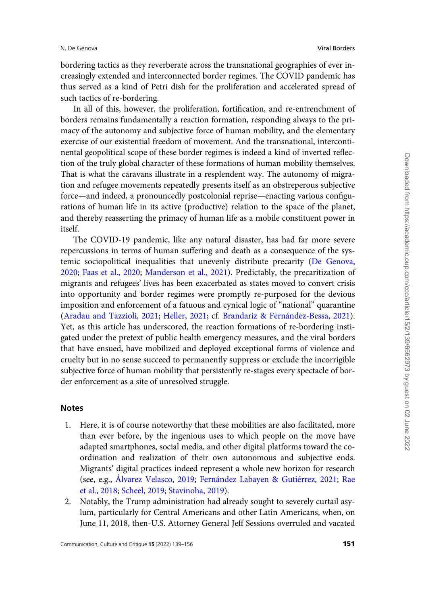bordering tactics as they reverberate across the transnational geographies of ever increasingly extended and interconnected border regimes. The COVID pandemic has thus served as a kind of Petri dish for the proliferation and accelerated spread of such tactics of re-bordering.

In all of this, however, the proliferation, fortification, and re-entrenchment of borders remains fundamentally a reaction formation, responding always to the primacy of the autonomy and subjective force of human mobility, and the elementary exercise of our existential freedom of movement. And the transnational, intercontinental geopolitical scope of these border regimes is indeed a kind of inverted reflection of the truly global character of these formations of human mobility themselves. That is what the caravans illustrate in a resplendent way. The autonomy of migration and refugee movements repeatedly presents itself as an obstreperous subjective force—and indeed, a pronouncedly postcolonial reprise—enacting various configurations of human life in its active (productive) relation to the space of the planet, and thereby reasserting the primacy of human life as a mobile constituent power in itself.

The COVID-19 pandemic, like any natural disaster, has had far more severe repercussions in terms of human suffering and death as a consequence of the systemic sociopolitical inequalities that unevenly distribute precarity ([De Genova,](#page-15-0) [2020](#page-15-0); [Faas et al., 2020;](#page-15-0) [Manderson et al., 2021\)](#page-16-0). Predictably, the precaritization of migrants and refugees' lives has been exacerbated as states moved to convert crisis into opportunity and border regimes were promptly re-purposed for the devious imposition and enforcement of a fatuous and cynical logic of "national" quarantine ([Aradau and Tazzioli, 2021;](#page-14-0) [Heller, 2021](#page-16-0); cf. Brandariz & Fernández-Bessa, 2021). Yet, as this article has underscored, the reaction formations of re-bordering instigated under the pretext of public health emergency measures, and the viral borders that have ensued, have mobilized and deployed exceptional forms of violence and cruelty but in no sense succeed to permanently suppress or exclude the incorrigible subjective force of human mobility that persistently re-stages every spectacle of border enforcement as a site of unresolved struggle.

#### **Notes**

- 1. Here, it is of course noteworthy that these mobilities are also facilitated, more than ever before, by the ingenious uses to which people on the move have adapted smartphones, social media, and other digital platforms toward the coordination and realization of their own autonomous and subjective ends. Migrants' digital practices indeed represent a whole new horizon for research (see, e.g., Álvarez Velasco, 2019; Fernández Labayen & [Guti](#page-16-0)é[rrez, 2021](#page-16-0); [Rae](#page-17-0) [et al., 2018;](#page-17-0) [Scheel, 2019;](#page-17-0) [Stavinoha, 2019\)](#page-17-0).
- 2. Notably, the Trump administration had already sought to severely curtail asylum, particularly for Central Americans and other Latin Americans, when, on June 11, 2018, then-U.S. Attorney General Jeff Sessions overruled and vacated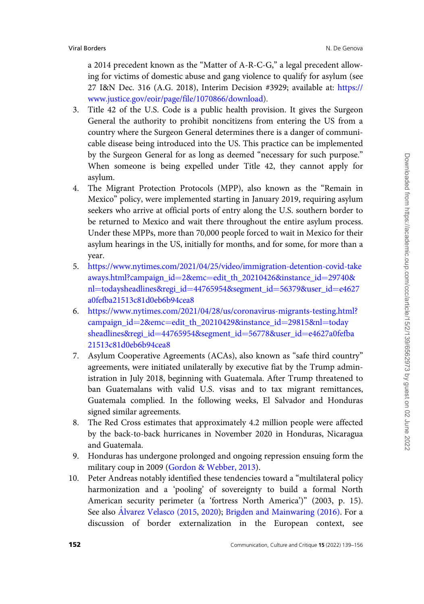a 2014 precedent known as the "Matter of A-R-C-G," a legal precedent allowing for victims of domestic abuse and gang violence to qualify for asylum (see 27 I&N Dec. 316 (A.G. 2018), Interim Decision #3929; available at: [https://](https://www.justice.gov/eoir/page/file/1070866/download) [www.justice.gov/eoir/page/file/1070866/download](https://www.justice.gov/eoir/page/file/1070866/download)).

- 3. Title 42 of the U.S. Code is a public health provision. It gives the Surgeon General the authority to prohibit noncitizens from entering the US from a country where the Surgeon General determines there is a danger of communicable disease being introduced into the US. This practice can be implemented by the Surgeon General for as long as deemed "necessary for such purpose." When someone is being expelled under Title 42, they cannot apply for asylum.
- 4. The Migrant Protection Protocols (MPP), also known as the "Remain in Mexico" policy, were implemented starting in January 2019, requiring asylum seekers who arrive at official ports of entry along the U.S. southern border to be returned to Mexico and wait there throughout the entire asylum process. Under these MPPs, more than 70,000 people forced to wait in Mexico for their asylum hearings in the US, initially for months, and for some, for more than a year.
- 5. [https://www.nytimes.com/2021/04/25/video/immigration-detention-covid-take](https://www.nytimes.com/2021/04/25/video/immigration-detention-covid-takeaways.html?campaign_id=2&hx0026;emc=edit_th_20210426&hx0026;instance_id=29740&hx0026;nl=todaysheadlines&hx0026;regi_id=44765954&hx0026;segment_id=56379&hx0026;user_id=e4627a0fefba21513c81d0eb6b94cea8) [aways.html?campaign\\_id](https://www.nytimes.com/2021/04/25/video/immigration-detention-covid-takeaways.html?campaign_id=2&hx0026;emc=edit_th_20210426&hx0026;instance_id=29740&hx0026;nl=todaysheadlines&hx0026;regi_id=44765954&hx0026;segment_id=56379&hx0026;user_id=e4627a0fefba21513c81d0eb6b94cea8)=[2](https://www.nytimes.com/2021/04/25/video/immigration-detention-covid-takeaways.html?campaign_id=2&hx0026;emc=edit_th_20210426&hx0026;instance_id=29740&hx0026;nl=todaysheadlines&hx0026;regi_id=44765954&hx0026;segment_id=56379&hx0026;user_id=e4627a0fefba21513c81d0eb6b94cea8)&[emc](https://www.nytimes.com/2021/04/25/video/immigration-detention-covid-takeaways.html?campaign_id=2&hx0026;emc=edit_th_20210426&hx0026;instance_id=29740&hx0026;nl=todaysheadlines&hx0026;regi_id=44765954&hx0026;segment_id=56379&hx0026;user_id=e4627a0fefba21513c81d0eb6b94cea8)=[edit\\_th\\_20210426](https://www.nytimes.com/2021/04/25/video/immigration-detention-covid-takeaways.html?campaign_id=2&hx0026;emc=edit_th_20210426&hx0026;instance_id=29740&hx0026;nl=todaysheadlines&hx0026;regi_id=44765954&hx0026;segment_id=56379&hx0026;user_id=e4627a0fefba21513c81d0eb6b94cea8)&[instance\\_id](https://www.nytimes.com/2021/04/25/video/immigration-detention-covid-takeaways.html?campaign_id=2&hx0026;emc=edit_th_20210426&hx0026;instance_id=29740&hx0026;nl=todaysheadlines&hx0026;regi_id=44765954&hx0026;segment_id=56379&hx0026;user_id=e4627a0fefba21513c81d0eb6b94cea8)=[29740&](https://www.nytimes.com/2021/04/25/video/immigration-detention-covid-takeaways.html?campaign_id=2&hx0026;emc=edit_th_20210426&hx0026;instance_id=29740&hx0026;nl=todaysheadlines&hx0026;regi_id=44765954&hx0026;segment_id=56379&hx0026;user_id=e4627a0fefba21513c81d0eb6b94cea8) [nl](https://www.nytimes.com/2021/04/25/video/immigration-detention-covid-takeaways.html?campaign_id=2&hx0026;emc=edit_th_20210426&hx0026;instance_id=29740&hx0026;nl=todaysheadlines&hx0026;regi_id=44765954&hx0026;segment_id=56379&hx0026;user_id=e4627a0fefba21513c81d0eb6b94cea8)=[todaysheadlines](https://www.nytimes.com/2021/04/25/video/immigration-detention-covid-takeaways.html?campaign_id=2&hx0026;emc=edit_th_20210426&hx0026;instance_id=29740&hx0026;nl=todaysheadlines&hx0026;regi_id=44765954&hx0026;segment_id=56379&hx0026;user_id=e4627a0fefba21513c81d0eb6b94cea8)&[regi\\_id](https://www.nytimes.com/2021/04/25/video/immigration-detention-covid-takeaways.html?campaign_id=2&hx0026;emc=edit_th_20210426&hx0026;instance_id=29740&hx0026;nl=todaysheadlines&hx0026;regi_id=44765954&hx0026;segment_id=56379&hx0026;user_id=e4627a0fefba21513c81d0eb6b94cea8)=[44765954](https://www.nytimes.com/2021/04/25/video/immigration-detention-covid-takeaways.html?campaign_id=2&hx0026;emc=edit_th_20210426&hx0026;instance_id=29740&hx0026;nl=todaysheadlines&hx0026;regi_id=44765954&hx0026;segment_id=56379&hx0026;user_id=e4627a0fefba21513c81d0eb6b94cea8)&[segment\\_id](https://www.nytimes.com/2021/04/25/video/immigration-detention-covid-takeaways.html?campaign_id=2&hx0026;emc=edit_th_20210426&hx0026;instance_id=29740&hx0026;nl=todaysheadlines&hx0026;regi_id=44765954&hx0026;segment_id=56379&hx0026;user_id=e4627a0fefba21513c81d0eb6b94cea8)=[56379&user\\_id](https://www.nytimes.com/2021/04/25/video/immigration-detention-covid-takeaways.html?campaign_id=2&hx0026;emc=edit_th_20210426&hx0026;instance_id=29740&hx0026;nl=todaysheadlines&hx0026;regi_id=44765954&hx0026;segment_id=56379&hx0026;user_id=e4627a0fefba21513c81d0eb6b94cea8)=[e4627](https://www.nytimes.com/2021/04/25/video/immigration-detention-covid-takeaways.html?campaign_id=2&hx0026;emc=edit_th_20210426&hx0026;instance_id=29740&hx0026;nl=todaysheadlines&hx0026;regi_id=44765954&hx0026;segment_id=56379&hx0026;user_id=e4627a0fefba21513c81d0eb6b94cea8) [a0fefba21513c81d0eb6b94cea8](https://www.nytimes.com/2021/04/25/video/immigration-detention-covid-takeaways.html?campaign_id=2&hx0026;emc=edit_th_20210426&hx0026;instance_id=29740&hx0026;nl=todaysheadlines&hx0026;regi_id=44765954&hx0026;segment_id=56379&hx0026;user_id=e4627a0fefba21513c81d0eb6b94cea8)
- 6. [https://www.nytimes.com/2021/04/28/us/coronavirus-migrants-testing.html?](https://www.nytimes.com/2021/04/28/us/coronavirus-migrants-testing.html?campaign_id=2&hx0026;emc=edit_th_20210429&hx0026;instance_id=29815&hx0026;nl=todaysheadlines&hx0026;regi_id=44765954&hx0026;segment_id=56778&hx0026;user_id=e4627a0fefba21513c81d0eb6b94cea8) [campaign\\_id](https://www.nytimes.com/2021/04/28/us/coronavirus-migrants-testing.html?campaign_id=2&hx0026;emc=edit_th_20210429&hx0026;instance_id=29815&hx0026;nl=todaysheadlines&hx0026;regi_id=44765954&hx0026;segment_id=56778&hx0026;user_id=e4627a0fefba21513c81d0eb6b94cea8)=[2&emc](https://www.nytimes.com/2021/04/28/us/coronavirus-migrants-testing.html?campaign_id=2&hx0026;emc=edit_th_20210429&hx0026;instance_id=29815&hx0026;nl=todaysheadlines&hx0026;regi_id=44765954&hx0026;segment_id=56778&hx0026;user_id=e4627a0fefba21513c81d0eb6b94cea8)=[edit\\_th\\_20210429&instance\\_id](https://www.nytimes.com/2021/04/28/us/coronavirus-migrants-testing.html?campaign_id=2&hx0026;emc=edit_th_20210429&hx0026;instance_id=29815&hx0026;nl=todaysheadlines&hx0026;regi_id=44765954&hx0026;segment_id=56778&hx0026;user_id=e4627a0fefba21513c81d0eb6b94cea8)=[29815&nl](https://www.nytimes.com/2021/04/28/us/coronavirus-migrants-testing.html?campaign_id=2&hx0026;emc=edit_th_20210429&hx0026;instance_id=29815&hx0026;nl=todaysheadlines&hx0026;regi_id=44765954&hx0026;segment_id=56778&hx0026;user_id=e4627a0fefba21513c81d0eb6b94cea8)=[today](https://www.nytimes.com/2021/04/28/us/coronavirus-migrants-testing.html?campaign_id=2&hx0026;emc=edit_th_20210429&hx0026;instance_id=29815&hx0026;nl=todaysheadlines&hx0026;regi_id=44765954&hx0026;segment_id=56778&hx0026;user_id=e4627a0fefba21513c81d0eb6b94cea8) [sheadlines&regi\\_id](https://www.nytimes.com/2021/04/28/us/coronavirus-migrants-testing.html?campaign_id=2&hx0026;emc=edit_th_20210429&hx0026;instance_id=29815&hx0026;nl=todaysheadlines&hx0026;regi_id=44765954&hx0026;segment_id=56778&hx0026;user_id=e4627a0fefba21513c81d0eb6b94cea8)=[44765954](https://www.nytimes.com/2021/04/28/us/coronavirus-migrants-testing.html?campaign_id=2&hx0026;emc=edit_th_20210429&hx0026;instance_id=29815&hx0026;nl=todaysheadlines&hx0026;regi_id=44765954&hx0026;segment_id=56778&hx0026;user_id=e4627a0fefba21513c81d0eb6b94cea8)&[segment\\_id](https://www.nytimes.com/2021/04/28/us/coronavirus-migrants-testing.html?campaign_id=2&hx0026;emc=edit_th_20210429&hx0026;instance_id=29815&hx0026;nl=todaysheadlines&hx0026;regi_id=44765954&hx0026;segment_id=56778&hx0026;user_id=e4627a0fefba21513c81d0eb6b94cea8)=[56778&user\\_id](https://www.nytimes.com/2021/04/28/us/coronavirus-migrants-testing.html?campaign_id=2&hx0026;emc=edit_th_20210429&hx0026;instance_id=29815&hx0026;nl=todaysheadlines&hx0026;regi_id=44765954&hx0026;segment_id=56778&hx0026;user_id=e4627a0fefba21513c81d0eb6b94cea8)=[e4627a0fefba](https://www.nytimes.com/2021/04/28/us/coronavirus-migrants-testing.html?campaign_id=2&hx0026;emc=edit_th_20210429&hx0026;instance_id=29815&hx0026;nl=todaysheadlines&hx0026;regi_id=44765954&hx0026;segment_id=56778&hx0026;user_id=e4627a0fefba21513c81d0eb6b94cea8) [21513c81d0eb6b94cea8](https://www.nytimes.com/2021/04/28/us/coronavirus-migrants-testing.html?campaign_id=2&hx0026;emc=edit_th_20210429&hx0026;instance_id=29815&hx0026;nl=todaysheadlines&hx0026;regi_id=44765954&hx0026;segment_id=56778&hx0026;user_id=e4627a0fefba21513c81d0eb6b94cea8)
- 7. Asylum Cooperative Agreements (ACAs), also known as "safe third country" agreements, were initiated unilaterally by executive fiat by the Trump administration in July 2018, beginning with Guatemala. After Trump threatened to ban Guatemalans with valid U.S. visas and to tax migrant remittances, Guatemala complied. In the following weeks, El Salvador and Honduras signed similar agreements.
- 8. The Red Cross estimates that approximately 4.2 million people were affected by the back-to-back hurricanes in November 2020 in Honduras, Nicaragua and Guatemala.
- 9. Honduras has undergone prolonged and ongoing repression ensuing form the military coup in 2009 ([Gordon](#page-16-0) [& Webber, 2013](#page-16-0)).
- 10. Peter Andreas notably identified these tendencies toward a "multilateral policy harmonization and a 'pooling' of sovereignty to build a formal North American security perimeter (a 'fortress North America')" (2003, p. 15). See also Alvarez Velasco (2015, [2020\)](#page-14-0); [Brigden and Mainwaring \(2016\).](#page-14-0) For a discussion of border externalization in the European context, see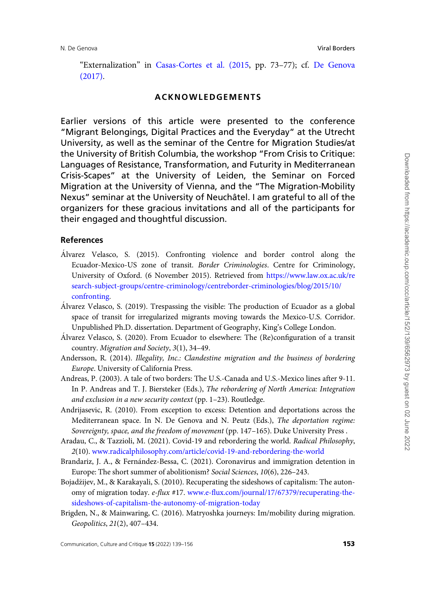<span id="page-14-0"></span>"Externalization" in [Casas-Cortes et al. \(2015](#page-15-0), pp. 73–77); cf. [De Genova](#page-15-0) [\(2017\)](#page-15-0).

# ACKNOWLEDGEMENTS

Earlier versions of this article were presented to the conference "Migrant Belongings, Digital Practices and the Everyday" at the Utrecht University, as well as the seminar of the Centre for Migration Studies/at the University of British Columbia, the workshop "From Crisis to Critique: Languages of Resistance, Transformation, and Futurity in Mediterranean Crisis-Scapes" at the University of Leiden, the Seminar on Forced Migration at the University of Vienna, and the "The Migration-Mobility Nexus" seminar at the University of Neuchâtel. I am grateful to all of the organizers for these gracious invitations and all of the participants for their engaged and thoughtful discussion.

### References

- Alvarez Velasco, S. (2015). Confronting violence and border control along the Ecuador-Mexico-US zone of transit. Border Criminologies. Centre for Criminology, University of Oxford. (6 November 2015). Retrieved from [https://www.law.ox.ac.uk/re](https://www.law.ox.ac.uk/research-subject-groups/centre-criminology/centreborder-criminologies/blog/2015/10/confronting) [search-subject-groups/centre-criminology/centreborder-criminologies/blog/2015/10/](https://www.law.ox.ac.uk/research-subject-groups/centre-criminology/centreborder-criminologies/blog/2015/10/confronting) [confronting](https://www.law.ox.ac.uk/research-subject-groups/centre-criminology/centreborder-criminologies/blog/2015/10/confronting).
- A´lvarez Velasco, S. (2019). Trespassing the visible: The production of Ecuador as a global space of transit for irregularized migrants moving towards the Mexico-U.S. Corridor. Unpublished Ph.D. dissertation. Department of Geography, King's College London.
- Alvarez Velasco, S. (2020). From Ecuador to elsewhere: The (Re)configuration of a transit country. Migration and Society, 3(1), 34–49.
- Andersson, R. (2014). Illegality, Inc.: Clandestine migration and the business of bordering Europe. University of California Press.
- Andreas, P. (2003). A tale of two borders: The U.S.-Canada and U.S.-Mexico lines after 9-11. In P. Andreas and T. J. Biersteker (Eds.), The rebordering of North America: Integration and exclusion in a new security context (pp. 1–23). Routledge.
- Andrijasevic, R. (2010). From exception to excess: Detention and deportations across the Mediterranean space. In N. De Genova and N. Peutz (Eds.), The deportation regime: Sovereignty, space, and the freedom of movement (pp. 147–165). Duke University Press .
- Aradau, C., & Tazzioli, M. (2021). Covid-19 and rebordering the world. Radical Philosophy, 2(10). [www.radicalphilosophy.com/article/covid-19-and-rebordering-the-world](http://www.radicalphilosophy.com/article/covid-19-and-rebordering-the-world)
- Brandariz, J. A., & Fernández-Bessa, C. (2021). Coronavirus and immigration detention in Europe: The short summer of abolitionism? Social Sciences, 10(6), 226–243.
- Bojadzijev, M., & Karakayali, S. (2010). Recuperating the sideshows of capitalism: The autonomy of migration today. e-flux #17. [www.e-flux.com/journal/17/67379/recuperating-the](http://www.e-flux.com/journal/17/67379/recuperating-the-sideshows-of-capitalism-the-autonomy-of-migration-today)[sideshows-of-capitalism-the-autonomy-of-migration-today](http://www.e-flux.com/journal/17/67379/recuperating-the-sideshows-of-capitalism-the-autonomy-of-migration-today)
- Brigden, N., & Mainwaring, C. (2016). Matryoshka journeys: Im/mobility during migration. Geopolitics, 21(2), 407–434.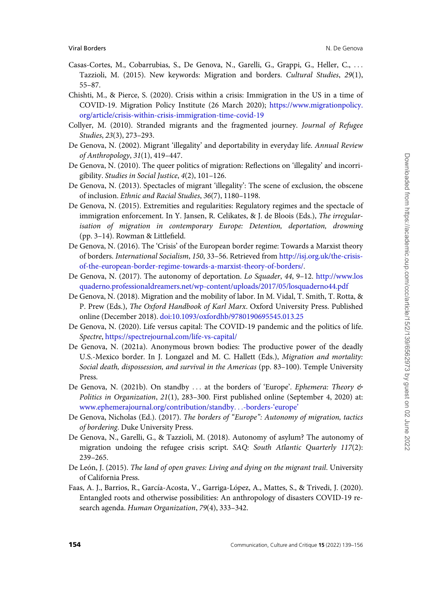- <span id="page-15-0"></span>Casas-Cortes, M., Cobarrubias, S., De Genova, N., Garelli, G., Grappi, G., Heller, C., ... Tazzioli, M. (2015). New keywords: Migration and borders. Cultural Studies, 29(1), 55–87.
- Chishti, M., & Pierce, S. (2020). Crisis within a crisis: Immigration in the US in a time of COVID-19. Migration Policy Institute (26 March 2020); [https://www.migrationpolicy.](https://www.migrationpolicy.org/article/crisis-within-crisis-immigration-time-covid-19) [org/article/crisis-within-crisis-immigration-time-covid-19](https://www.migrationpolicy.org/article/crisis-within-crisis-immigration-time-covid-19)
- Collyer, M. (2010). Stranded migrants and the fragmented journey. Journal of Refugee Studies, 23(3), 273–293.
- De Genova, N. (2002). Migrant 'illegality' and deportability in everyday life. Annual Review of Anthropology, 31(1), 419–447.
- De Genova, N. (2010). The queer politics of migration: Reflections on 'illegality' and incorrigibility. Studies in Social Justice, 4(2), 101–126.
- De Genova, N. (2013). Spectacles of migrant 'illegality': The scene of exclusion, the obscene of inclusion. Ethnic and Racial Studies, 36(7), 1180–1198.
- De Genova, N. (2015). Extremities and regularities: Regulatory regimes and the spectacle of immigration enforcement. In Y. Jansen, R. Celikates, & J. de Bloois (Eds.), The irregularisation of migration in contemporary Europe: Detention, deportation, drowning (pp. 3–14). Rowman & Littlefield.
- De Genova, N. (2016). The 'Crisis' of the European border regime: Towards a Marxist theory of borders. International Socialism, 150, 33–56. Retrieved from [http://isj.org.uk/the-crisis](http://isj.org.uk/the-crisis-of-the-european-border-regime-towards-a-marxist-theory-of-borders/)[of-the-european-border-regime-towards-a-marxist-theory-of-borders/](http://isj.org.uk/the-crisis-of-the-european-border-regime-towards-a-marxist-theory-of-borders/).
- De Genova, N. (2017). The autonomy of deportation. Lo Squader, 44, 9–12. [http://www.los](http://www.losquaderno.professionaldreamers.net/wp-content/uploads/2017/05/losquaderno44.pdf) [quaderno.professionaldreamers.net/wp-content/uploads/2017/05/losquaderno44.pdf](http://www.losquaderno.professionaldreamers.net/wp-content/uploads/2017/05/losquaderno44.pdf)
- De Genova, N. (2018). Migration and the mobility of labor. In M. Vidal, T. Smith, T. Rotta, & P. Prew (Eds.), The Oxford Handbook of Karl Marx. Oxford University Press. Published online (December 2018). doi:10.1093/oxfordhb/9780190695545.013.25
- De Genova, N. (2020). Life versus capital: The COVID-19 pandemic and the politics of life. Spectre, <https://spectrejournal.com/life-vs-capital/>
- De Genova, N. (2021a). Anonymous brown bodies: The productive power of the deadly U.S.-Mexico border. In J. Longazel and M. C. Hallett (Eds.), Migration and mortality: Social death, dispossession, and survival in the Americas (pp. 83–100). Temple University Press.
- De Genova, N. (2021b). On standby ... at the borders of 'Europe'. Ephemera: Theory & Politics in Organization, 21(1), 283-300. First published online (September 4, 2020) at: [www.ephemerajournal.org/contribution/standby](http://www.ephemerajournal.org/contribution/standby&hx0026;hellip;-borders-&hx0026;lsquo;europe&hx0026;rsquo;)...[-borders-'europe'](http://www.ephemerajournal.org/contribution/standby&hx0026;hellip;-borders-&hx0026;lsquo;europe&hx0026;rsquo;)
- De Genova, Nicholas (Ed.). (2017). The borders of "Europe": Autonomy of migration, tactics of bordering. Duke University Press.
- De Genova, N., Garelli, G., & Tazzioli, M. (2018). Autonomy of asylum? The autonomy of migration undoing the refugee crisis script. SAQ: South Atlantic Quarterly 117(2): 239–265.
- De León, J. (2015). The land of open graves: Living and dying on the migrant trail. University of California Press.
- Faas, A. J., Barrios, R., García-Acosta, V., Garriga-López, A., Mattes, S., & Trivedi, J. (2020). Entangled roots and otherwise possibilities: An anthropology of disasters COVID-19 research agenda. Human Organization, 79(4), 333–342.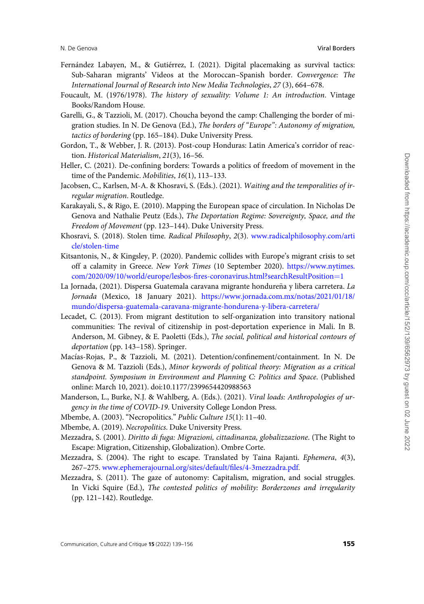- <span id="page-16-0"></span>Fernández Labayen, M., & Gutiérrez, I. (2021). Digital placemaking as survival tactics: Sub-Saharan migrants' Videos at the Moroccan–Spanish border. Convergence: The International Journal of Research into New Media Technologies, 27 (3), 664–678.
- Foucault, M. (1976/1978). The history of sexuality: Volume 1: An introduction. Vintage Books/Random House.
- Garelli, G., & Tazzioli, M. (2017). Choucha beyond the camp: Challenging the border of migration studies. In N. De Genova (Ed.), The borders of "Europe": Autonomy of migration, tactics of bordering (pp. 165–184). Duke University Press.
- Gordon, T., & Webber, J. R. (2013). Post-coup Honduras: Latin America's corridor of reaction. Historical Materialism, 21(3), 16–56.
- Heller, C. (2021). De-confining borders: Towards a politics of freedom of movement in the time of the Pandemic. Mobilities, 16(1), 113–133.
- Jacobsen, C., Karlsen, M-A. & Khosravi, S. (Eds.). (2021). Waiting and the temporalities of irregular migration. Routledge.
- Karakayali, S., & Rigo, E. (2010). Mapping the European space of circulation. In Nicholas De Genova and Nathalie Peutz (Eds.), The Deportation Regime: Sovereignty, Space, and the Freedom of Movement (pp. 123–144). Duke University Press.
- Khosravi, S. (2018). Stolen time. Radical Philosophy, 2(3). [www.radicalphilosophy.com/arti](http://www.radicalphilosophy.com/article/stolen-time) [cle/stolen-time](http://www.radicalphilosophy.com/article/stolen-time)
- Kitsantonis, N., & Kingsley, P. (2020). Pandemic collides with Europe's migrant crisis to set off a calamity in Greece. New York Times (10 September 2020). [https://www.nytimes.](https://www.nytimes.com/2020/09/10/world/europe/lesbos-fires-coronavirus.html?searchResultPosition=1) [com/2020/09/10/world/europe/lesbos-fires-coronavirus.html?searchResultPosition](https://www.nytimes.com/2020/09/10/world/europe/lesbos-fires-coronavirus.html?searchResultPosition=1)=[1](https://www.nytimes.com/2020/09/10/world/europe/lesbos-fires-coronavirus.html?searchResultPosition=1)
- La Jornada, (2021). Dispersa Guatemala caravana migrante hondureña y libera carretera. La Jornada (Mexico, 18 January 2021). [https://www.jornada.com.mx/notas/2021/01/18/](https://www.jornada.com.mx/notas/2021/01/18/mundo/dispersa-guatemala-caravana-migrante-hondurena-y-libera-carretera/) [mundo/dispersa-guatemala-caravana-migrante-hondurena-y-libera-carretera/](https://www.jornada.com.mx/notas/2021/01/18/mundo/dispersa-guatemala-caravana-migrante-hondurena-y-libera-carretera/)
- Lecadet, C. (2013). From migrant destitution to self-organization into transitory national communities: The revival of citizenship in post-deportation experience in Mali. In B. Anderson, M. Gibney, & E. Paoletti (Eds.), The social, political and historical contours of deportation (pp. 143–158). Springer.
- Macías-Rojas, P., & Tazzioli, M. (2021). Detention/confinement/containment. In N. De Genova & M. Tazzioli (Eds.), Minor keywords of political theory: Migration as a critical standpoint. Symposium in Environment and Planning C: Politics and Space. (Published online: March 10, 2021). doi:10.1177/2399654420988563
- Manderson, L., Burke, N.J. & Wahlberg, A. (Eds.). (2021). Viral loads: Anthropologies of urgency in the time of COVID-19. University College London Press.
- Mbembe, A. (2003). "Necropolitics." Public Culture 15(1): 11–40.
- Mbembe, A. (2019). Necropolitics. Duke University Press.
- Mezzadra, S. (2001). Diritto di fuga: Migrazioni, cittadinanza, globalizzazione. (The Right to Escape: Migration, Citizenship, Globalization). Ombre Corte.
- Mezzadra, S. (2004). The right to escape. Translated by Taina Rajanti. Ephemera, 4(3), 267–275. [www.ephemerajournal.org/sites/default/files/4-3mezzadra.pdf](http://www.ephemerajournal.org/sites/default/files/4-3mezzadra.pdf).
- Mezzadra, S. (2011). The gaze of autonomy: Capitalism, migration, and social struggles. In Vicki Squire (Ed.), The contested politics of mobility: Borderzones and irregularity (pp. 121–142). Routledge.